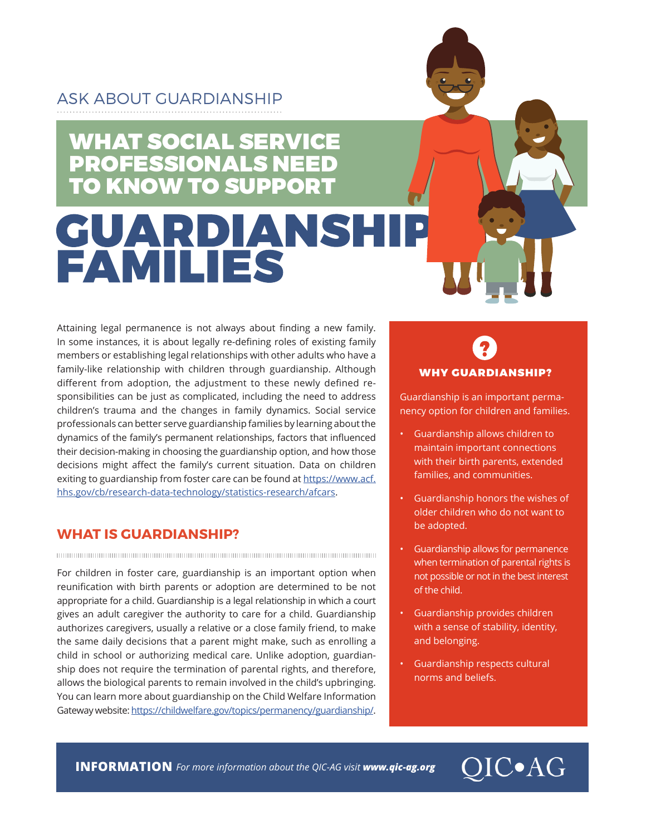# ASK ABOUT GUARDIANSHIP

# WHAT SOCIAL SERVICE PROFESSIONALS NEED TO KNOW TO SUPPORT **GUARDIANSH**<br>FAMILIES

Attaining legal permanence is not always about finding a new family. In some instances, it is about legally re-defining roles of existing family members or establishing legal relationships with other adults who have a family-like relationship with children through guardianship. Although different from adoption, the adjustment to these newly defined responsibilities can be just as complicated, including the need to address children's trauma and the changes in family dynamics. Social service professionals can better serve guardianship families by learning about the dynamics of the family's permanent relationships, factors that influenced their decision-making in choosing the guardianship option, and how those decisions might affect the family's current situation. Data on children exiting to guardianship from foster care can be found at [https://www.acf.](https://www.acf.hhs.gov/cb/research-data-technology/statistics-research/afcars) [hhs.gov/cb/research-data-technology/statistics-research/afcars.](https://www.acf.hhs.gov/cb/research-data-technology/statistics-research/afcars)

### **WHAT IS GUARDIANSHIP?**

For children in foster care, guardianship is an important option when reunification with birth parents or adoption are determined to be not appropriate for a child. Guardianship is a legal relationship in which a court gives an adult caregiver the authority to care for a child. Guardianship authorizes caregivers, usually a relative or a close family friend, to make the same daily decisions that a parent might make, such as enrolling a child in school or authorizing medical care. Unlike adoption, guardianship does not require the termination of parental rights, and therefore, allows the biological parents to remain involved in the child's upbringing. You can learn more about guardianship on the Child Welfare Information Gateway website: [https://childwelfare.gov/topics/permanency/guardianship/](https://www.childwelfare.gov/topics/permanency/guardianship/).

# WHY GUARDIANSHIP?

Guardianship is an important permanency option for children and families.

- Guardianship allows children to maintain important connections with their birth parents, extended families, and communities.
- Guardianship honors the wishes of older children who do not want to be adopted.
- Guardianship allows for permanence when termination of parental rights is not possible or not in the best interest of the child.
- Guardianship provides children with a sense of stability, identity, and belonging.
- Guardianship respects cultural norms and beliefs.

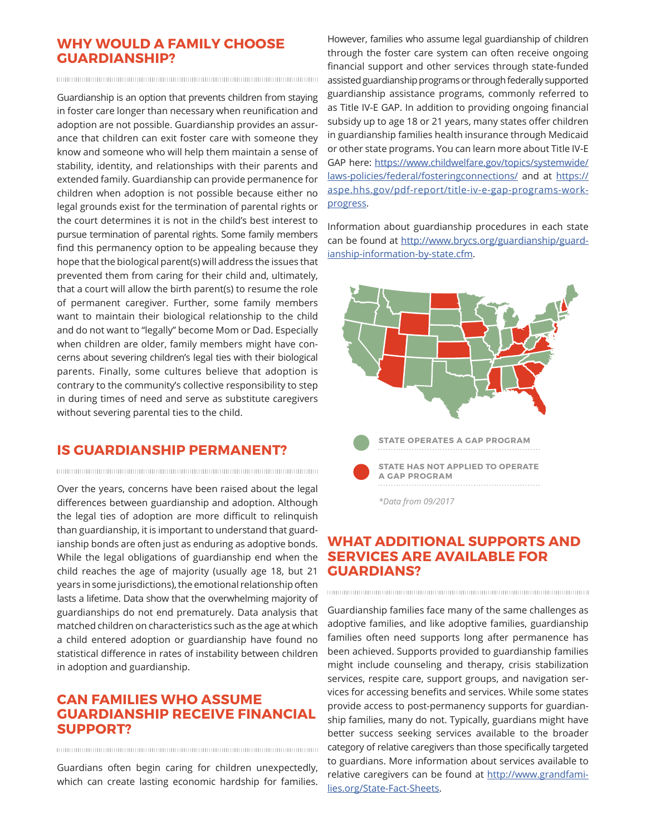#### **WHY WOULD A FAMILY CHOOSE GUARDIANSHIP?**

Guardianship is an option that prevents children from staying in foster care longer than necessary when reunification and adoption are not possible. Guardianship provides an assurance that children can exit foster care with someone they know and someone who will help them maintain a sense of stability, identity, and relationships with their parents and extended family. Guardianship can provide permanence for children when adoption is not possible because either no legal grounds exist for the termination of parental rights or the court determines it is not in the child's best interest to pursue termination of parental rights. Some family members find this permanency option to be appealing because they hope that the biological parent(s) will address the issues that prevented them from caring for their child and, ultimately, that a court will allow the birth parent(s) to resume the role of permanent caregiver. Further, some family members want to maintain their biological relationship to the child and do not want to "legally" become Mom or Dad. Especially when children are older, family members might have concerns about severing children's legal ties with their biological parents. Finally, some cultures believe that adoption is contrary to the community's collective responsibility to step in during times of need and serve as substitute caregivers without severing parental ties to the child.

## **IS GUARDIANSHIP PERMANENT?**

Over the years, concerns have been raised about the legal differences between guardianship and adoption. Although the legal ties of adoption are more difficult to relinquish than guardianship, it is important to understand that guardianship bonds are often just as enduring as adoptive bonds. While the legal obligations of guardianship end when the child reaches the age of majority (usually age 18, but 21 years in some jurisdictions), the emotional relationship often lasts a lifetime. Data show that the overwhelming majority of guardianships do not end prematurely. Data analysis that matched children on characteristics such as the age at which a child entered adoption or guardianship have found no statistical difference in rates of instability between children in adoption and guardianship.

#### **CAN FAMILIES WHO ASSUME GUARDIANSHIP RECEIVE FINANCIAL SUPPORT?**

Guardians often begin caring for children unexpectedly, which can create lasting economic hardship for families.

However, families who assume legal guardianship of children through the foster care system can often receive ongoing financial support and other services through state-funded assisted guardianship programs or through federally supported guardianship assistance programs, commonly referred to as Title IV-E GAP. In addition to providing ongoing financial subsidy up to age 18 or 21 years, many states offer children in guardianship families health insurance through Medicaid or other state programs. You can learn more about Title IV-E GAP here: [https://www.childwelfare.gov/topics/systemwide/](https://www.childwelfare.gov/topics/systemwide/laws-policies/federal/fosteringconnections/) [laws-policies/federal/fosteringconnections/](https://www.childwelfare.gov/topics/systemwide/laws-policies/federal/fosteringconnections/) and at [https://](https://aspe.hhs.gov/pdf-report/title-iv-e-gap-programs-work-progress) [aspe.hhs.gov/pdf-report/title-iv-e-gap-programs-work](https://aspe.hhs.gov/pdf-report/title-iv-e-gap-programs-work-progress)[progress](https://aspe.hhs.gov/pdf-report/title-iv-e-gap-programs-work-progress).

Information about guardianship procedures in each state can be found at [http://www.brycs.org/guardianship/guard](http://www.brycs.org/guardianship/guardianship-information-by-state.cfm)[ianship-information-by-state.cfm](http://www.brycs.org/guardianship/guardianship-information-by-state.cfm).



### **WHAT ADDITIONAL SUPPORTS AND SERVICES ARE AVAILABLE FOR GUARDIANS?**

Guardianship families face many of the same challenges as adoptive families, and like adoptive families, guardianship families often need supports long after permanence has been achieved. Supports provided to guardianship families might include counseling and therapy, crisis stabilization services, respite care, support groups, and navigation services for accessing benefits and services. While some states provide access to post-permanency supports for guardianship families, many do not. Typically, guardians might have better success seeking services available to the broader category of relative caregivers than those specifically targeted to guardians. More information about services available to relative caregivers can be found at [http://www.grandfami](http://www.grandfamilies.org/State-Fact-Sheets)[lies.org/State-Fact-Sheets](http://www.grandfamilies.org/State-Fact-Sheets).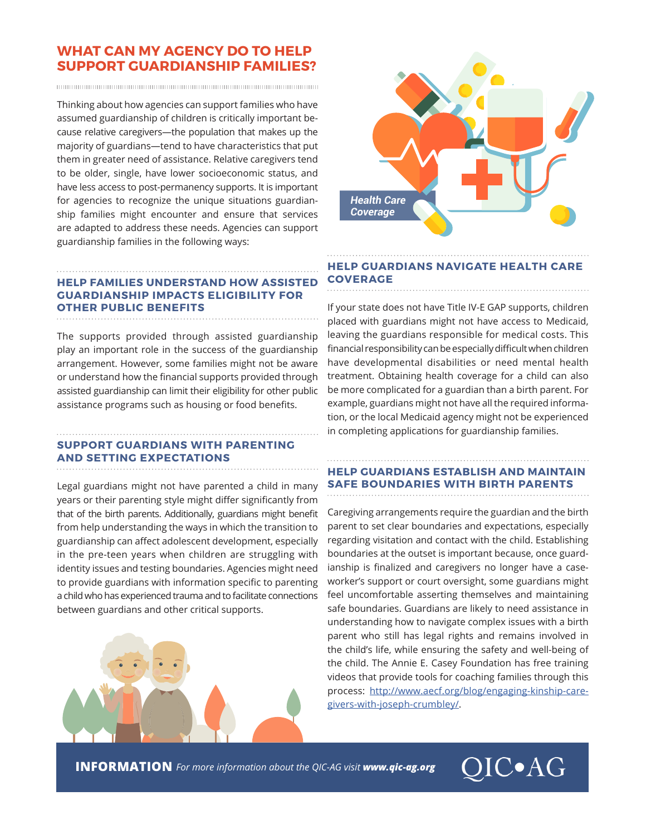#### **WHAT CAN MY AGENCY DO TO HELP SUPPORT GUARDIANSHIP FAMILIES?**

Thinking about how agencies can support families who have assumed guardianship of children is critically important because relative caregivers—the population that makes up the majority of guardians—tend to have characteristics that put them in greater need of assistance. Relative caregivers tend to be older, single, have lower socioeconomic status, and have less access to post-permanency supports. It is important for agencies to recognize the unique situations guardianship families might encounter and ensure that services are adapted to address these needs. Agencies can support guardianship families in the following ways:

#### **HELP FAMILIES UNDERSTAND HOW ASSISTED GUARDIANSHIP IMPACTS ELIGIBILITY FOR OTHER PUBLIC BENEFITS**

The supports provided through assisted guardianship play an important role in the success of the guardianship arrangement. However, some families might not be aware or understand how the financial supports provided through assisted guardianship can limit their eligibility for other public assistance programs such as housing or food benefits.

#### **SUPPORT GUARDIANS WITH PARENTING AND SETTING EXPECTATIONS**

Legal guardians might not have parented a child in many years or their parenting style might differ significantly from that of the birth parents. Additionally, guardians might benefit from help understanding the ways in which the transition to guardianship can affect adolescent development, especially in the pre-teen years when children are struggling with identity issues and testing boundaries. Agencies might need to provide guardians with information specific to parenting a child who has experienced trauma and to facilitate connections between guardians and other critical supports.





#### **HELP GUARDIANS NAVIGATE HEALTH CARE COVERAGE**

If your state does not have Title IV-E GAP supports, children placed with guardians might not have access to Medicaid, leaving the guardians responsible for medical costs. This financial responsibility can be especially difficult when children have developmental disabilities or need mental health treatment. Obtaining health coverage for a child can also be more complicated for a guardian than a birth parent. For example, guardians might not have all the required information, or the local Medicaid agency might not be experienced in completing applications for guardianship families.

#### **HELP GUARDIANS ESTABLISH AND MAINTAIN SAFE BOUNDARIES WITH BIRTH PARENTS**

Caregiving arrangements require the guardian and the birth parent to set clear boundaries and expectations, especially regarding visitation and contact with the child. Establishing boundaries at the outset is important because, once guardianship is finalized and caregivers no longer have a caseworker's support or court oversight, some guardians might feel uncomfortable asserting themselves and maintaining safe boundaries. Guardians are likely to need assistance in understanding how to navigate complex issues with a birth parent who still has legal rights and remains involved in the child's life, while ensuring the safety and well-being of the child. The Annie E. Casey Foundation has free training videos that provide tools for coaching families through this process: [http://www.aecf.org/blog/engaging-kinship-care](http://www.aecf.org/blog/engaging-kinship-caregivers-with-joseph-crumbley/)[givers-with-joseph-crumbley/](http://www.aecf.org/blog/engaging-kinship-caregivers-with-joseph-crumbley/).

**INFORMATION** *For more information about the QIC-AG visit www.qic-ag.org*